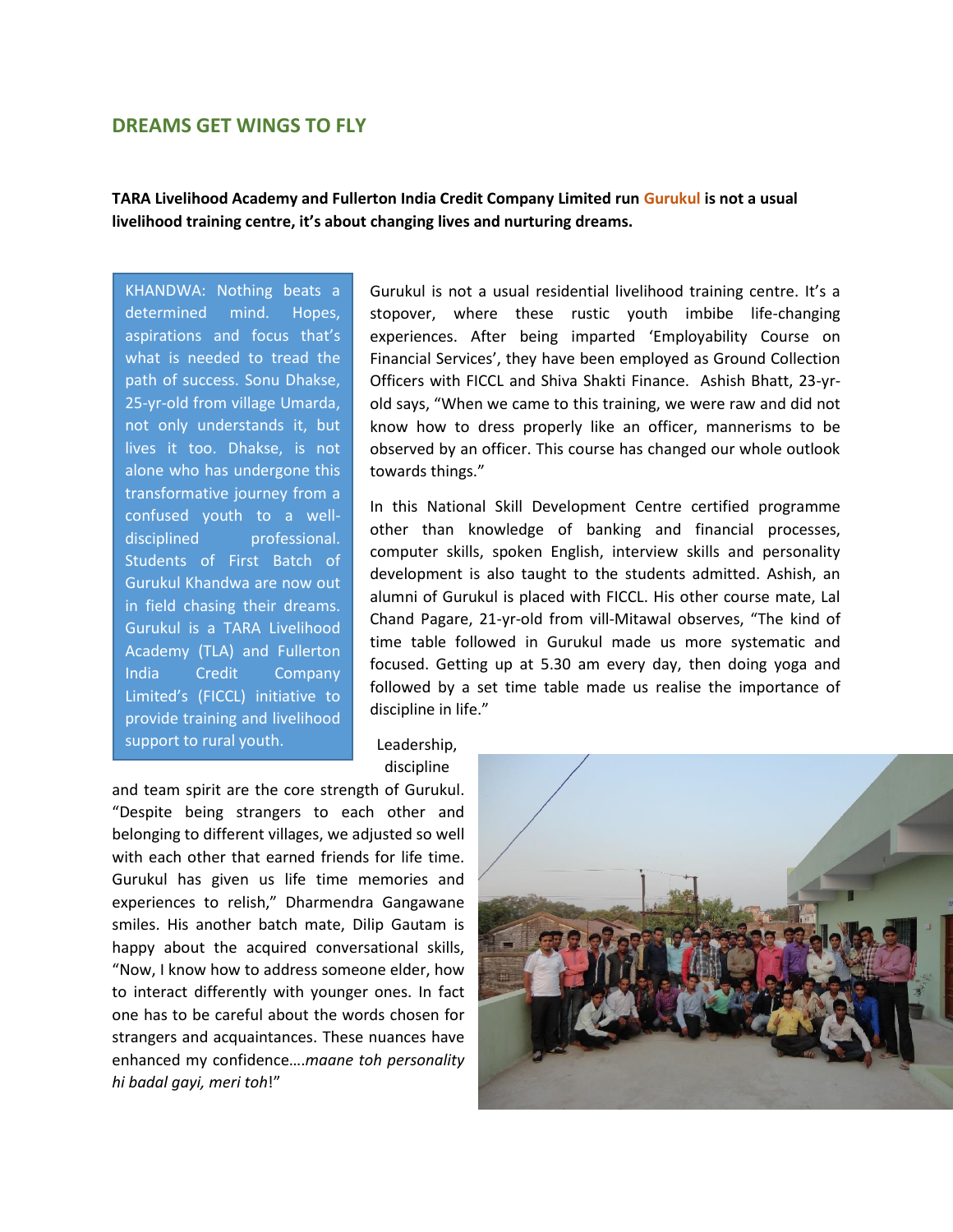## **DREAMS GET WINGS TO FLY**

**TARA Livelihood Academy and Fullerton India Credit Company Limited run Gurukul is not a usual livelihood training centre, it's about changing lives and nurturing dreams.**

KHANDWA: Nothing beats a determined mind. Hopes, aspirations and focus that's what is needed to tread the path of success. Sonu Dhakse, 25-yr-old from village Umarda, not only understands it, but lives it too. Dhakse, is not alone who has undergone this transformative journey from a confused youth to a welldisciplined professional. Students of First Batch of Gurukul Khandwa are now out in field chasing their dreams. Gurukul is a TARA Livelihood Academy (TLA) and Fullerton India Credit Company Limited's (FICCL) initiative to provide training and livelihood support to rural youth.

Gurukul is not a usual residential livelihood training centre. It's a stopover, where these rustic youth imbibe life-changing experiences. After being imparted 'Employability Course on Financial Services', they have been employed as Ground Collection Officers with FICCL and Shiva Shakti Finance. Ashish Bhatt, 23-yrold says, "When we came to this training, we were raw and did not know how to dress properly like an officer, mannerisms to be observed by an officer. This course has changed our whole outlook towards things."

In this National Skill Development Centre certified programme other than knowledge of banking and financial processes, computer skills, spoken English, interview skills and personality development is also taught to the students admitted. Ashish, an alumni of Gurukul is placed with FICCL. His other course mate, Lal Chand Pagare, 21-yr-old from vill-Mitawal observes, "The kind of time table followed in Gurukul made us more systematic and focused. Getting up at 5.30 am every day, then doing yoga and followed by a set time table made us realise the importance of discipline in life."

Leadership, discipline

and team spirit are the core strength of Gurukul. "Despite being strangers to each other and belonging to different villages, we adjusted so well with each other that earned friends for life time. Gurukul has given us life time memories and experiences to relish," Dharmendra Gangawane smiles. His another batch mate, Dilip Gautam is happy about the acquired conversational skills, "Now, I know how to address someone elder, how to interact differently with younger ones. In fact one has to be careful about the words chosen for strangers and acquaintances. These nuances have enhanced my confidence….*maane toh personality hi badal gayi, meri toh*!"